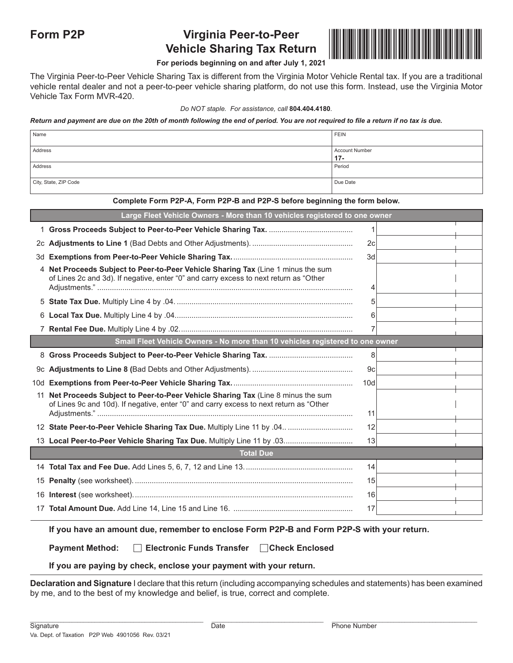# **Form P2P Virginia Peer-to-Peer Vehicle Sharing Tax Return**



### **For periods beginning on and after July 1, 2021**

The Virginia Peer-to-Peer Vehicle Sharing Tax is different from the Virginia Motor Vehicle Rental tax. If you are a traditional vehicle rental dealer and not a peer-to-peer vehicle sharing platform, do not use this form. Instead, use the Virginia Motor Vehicle Tax Form MVR-420.

#### *Do NOT staple. For assistance, call* **804.404.4180***.*

#### *Return and payment are due on the 20th of month following the end of period. You are not required to file a return if no tax is due.*

| Name                  | FEIN                     |
|-----------------------|--------------------------|
| Address               | Account Number<br>$17 -$ |
| Address               | Period                   |
| City, State, ZIP Code | Due Date                 |

#### **Complete Form P2P-A, Form P2P-B and P2P-S before beginning the form below.**

|    | Large Fleet Vehicle Owners - More than 10 vehicles registered to one owner                                                                                                |     |  |  |  |  |  |  |  |
|----|---------------------------------------------------------------------------------------------------------------------------------------------------------------------------|-----|--|--|--|--|--|--|--|
|    |                                                                                                                                                                           | 1   |  |  |  |  |  |  |  |
|    |                                                                                                                                                                           | 2c  |  |  |  |  |  |  |  |
| 3d |                                                                                                                                                                           | 3d  |  |  |  |  |  |  |  |
|    | 4 Net Proceeds Subject to Peer-to-Peer Vehicle Sharing Tax (Line 1 minus the sum<br>of Lines 2c and 3d). If negative, enter "0" and carry excess to next return as "Other | 4   |  |  |  |  |  |  |  |
|    |                                                                                                                                                                           | 5   |  |  |  |  |  |  |  |
|    |                                                                                                                                                                           | 6   |  |  |  |  |  |  |  |
|    |                                                                                                                                                                           | 7   |  |  |  |  |  |  |  |
|    | Small Fleet Vehicle Owners - No more than 10 vehicles registered to one owner                                                                                             |     |  |  |  |  |  |  |  |
|    |                                                                                                                                                                           | 8   |  |  |  |  |  |  |  |
|    |                                                                                                                                                                           | 9c  |  |  |  |  |  |  |  |
|    |                                                                                                                                                                           | 10d |  |  |  |  |  |  |  |
| 11 | Net Proceeds Subject to Peer-to-Peer Vehicle Sharing Tax (Line 8 minus the sum<br>of Lines 9c and 10d). If negative, enter "0" and carry excess to next return as "Other  | 11  |  |  |  |  |  |  |  |
|    |                                                                                                                                                                           | 12  |  |  |  |  |  |  |  |
|    |                                                                                                                                                                           | 13  |  |  |  |  |  |  |  |
|    | <b>Total Due</b>                                                                                                                                                          |     |  |  |  |  |  |  |  |
|    |                                                                                                                                                                           | 14  |  |  |  |  |  |  |  |
|    |                                                                                                                                                                           | 15  |  |  |  |  |  |  |  |
|    |                                                                                                                                                                           | 16  |  |  |  |  |  |  |  |
|    |                                                                                                                                                                           | 17  |  |  |  |  |  |  |  |

#### **If you have an amount due, remember to enclose Form P2P-B and Form P2P-S with your return.**

## **Payment Method: Electronic Funds Transfer Check Enclosed**

### **If you are paying by check, enclose your payment with your return.**

**Declaration and Signature** I declare that this return (including accompanying schedules and statements) has been examined by me, and to the best of my knowledge and belief, is true, correct and complete.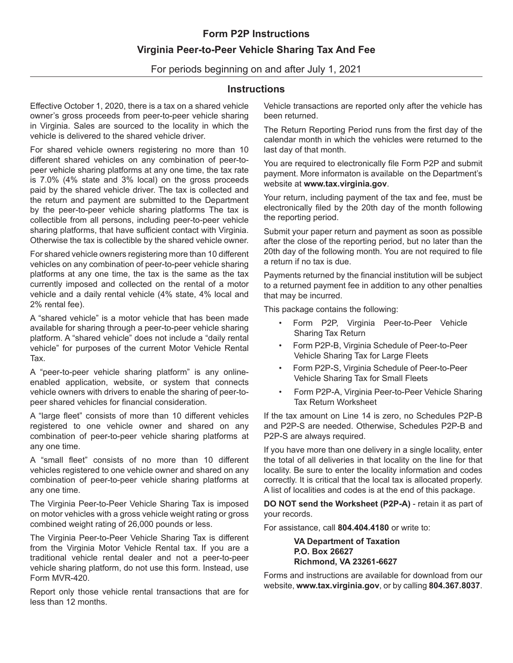# **Form P2P Instructions Virginia Peer-to-Peer Vehicle Sharing Tax And Fee**

For periods beginning on and after July 1, 2021

## **Instructions**

Effective October 1, 2020, there is a tax on a shared vehicle owner's gross proceeds from peer-to-peer vehicle sharing in Virginia. Sales are sourced to the locality in which the vehicle is delivered to the shared vehicle driver.

For shared vehicle owners registering no more than 10 different shared vehicles on any combination of peer-topeer vehicle sharing platforms at any one time, the tax rate is 7.0% (4% state and 3% local) on the gross proceeds paid by the shared vehicle driver. The tax is collected and the return and payment are submitted to the Department by the peer-to-peer vehicle sharing platforms The tax is collectible from all persons, including peer-to-peer vehicle sharing platforms, that have sufficient contact with Virginia. Otherwise the tax is collectible by the shared vehicle owner.

For shared vehicle owners registering more than 10 different vehicles on any combination of peer-to-peer vehicle sharing platforms at any one time, the tax is the same as the tax currently imposed and collected on the rental of a motor vehicle and a daily rental vehicle (4% state, 4% local and 2% rental fee).

A "shared vehicle" is a motor vehicle that has been made available for sharing through a peer-to-peer vehicle sharing platform. A "shared vehicle" does not include a "daily rental vehicle" for purposes of the current Motor Vehicle Rental Tax.

A "peer-to-peer vehicle sharing platform" is any onlineenabled application, website, or system that connects vehicle owners with drivers to enable the sharing of peer-topeer shared vehicles for financial consideration.

A "large fleet" consists of more than 10 different vehicles registered to one vehicle owner and shared on any combination of peer-to-peer vehicle sharing platforms at any one time.

A "small fleet" consists of no more than 10 different vehicles registered to one vehicle owner and shared on any combination of peer-to-peer vehicle sharing platforms at any one time.

The Virginia Peer-to-Peer Vehicle Sharing Tax is imposed on motor vehicles with a gross vehicle weight rating or gross combined weight rating of 26,000 pounds or less.

The Virginia Peer-to-Peer Vehicle Sharing Tax is different from the Virginia Motor Vehicle Rental tax. If you are a traditional vehicle rental dealer and not a peer-to-peer vehicle sharing platform, do not use this form. Instead, use Form MVR-420.

Report only those vehicle rental transactions that are for less than 12 months.

Vehicle transactions are reported only after the vehicle has been returned.

The Return Reporting Period runs from the first day of the calendar month in which the vehicles were returned to the last day of that month.

You are required to electronically file Form P2P and submit payment. More informaton is available on the Department's website at **www.tax.virginia.gov**.

Your return, including payment of the tax and fee, must be electronically filed by the 20th day of the month following the reporting period.

Submit your paper return and payment as soon as possible after the close of the reporting period, but no later than the 20th day of the following month. You are not required to file a return if no tax is due.

Payments returned by the financial institution will be subject to a returned payment fee in addition to any other penalties that may be incurred.

This package contains the following:

- Form P2P, Virginia Peer-to-Peer Vehicle Sharing Tax Return
- Form P2P-B, Virginia Schedule of Peer-to-Peer Vehicle Sharing Tax for Large Fleets
- Form P2P-S, Virginia Schedule of Peer-to-Peer Vehicle Sharing Tax for Small Fleets
- Form P2P-A, Virginia Peer-to-Peer Vehicle Sharing Tax Return Worksheet

If the tax amount on Line 14 is zero, no Schedules P2P-B and P2P-S are needed. Otherwise, Schedules P2P-B and P2P-S are always required.

If you have more than one delivery in a single locality, enter the total of all deliveries in that locality on the line for that locality. Be sure to enter the locality information and codes correctly. It is critical that the local tax is allocated properly. A list of localities and codes is at the end of this package.

**DO NOT send the Worksheet (P2P-A)** - retain it as part of your records.

For assistance, call **804.404.4180** or write to:

 **VA Department of Taxation P.O. Box 26627 Richmond, VA 23261-6627**

Forms and instructions are available for download from our website, **www.tax.virginia.gov**, or by calling **804.367.8037**.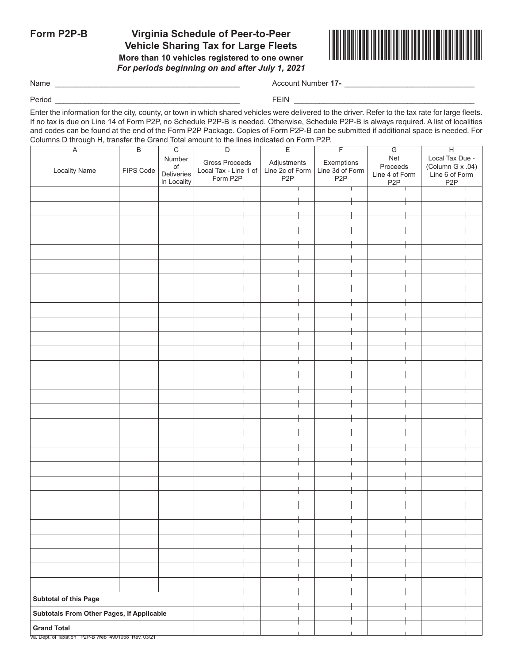## **Form P2P-B Virginia Schedule of Peer-to-Peer Vehicle Sharing Tax for Large Fleets More than 10 vehicles registered to one owner** *For periods beginning on and after July 1, 2021*



Name \_\_\_\_\_\_\_\_\_\_\_\_\_\_\_\_\_\_\_\_\_\_\_\_\_\_\_\_\_\_\_\_\_\_\_\_\_\_\_\_\_\_\_\_ Account Number **17-** \_\_\_\_\_\_\_\_\_\_\_\_\_\_\_\_\_\_\_\_\_\_\_\_\_\_\_\_\_\_\_

Period \_\_\_\_\_\_\_\_\_\_\_\_\_\_\_\_\_\_\_\_\_\_\_\_\_\_\_\_\_\_\_\_\_\_\_\_\_\_\_\_\_\_\_\_ FEIN \_\_\_\_\_\_\_\_\_\_\_\_\_\_\_\_\_\_\_\_\_\_\_\_\_\_\_\_\_\_\_\_\_\_\_\_\_\_\_\_\_\_\_

Enter the information for the city, county, or town in which shared vehicles were delivered to the driver. Refer to the tax rate for large fleets. If no tax is due on Line 14 of Form P2P, no Schedule P2P-B is needed. Otherwise, Schedule P2P-B is always required. A list of localities and codes can be found at the end of the Form P2P Package. Copies of Form P2P-B can be submitted if additional space is needed. For Columns D through H, transfer the Grand Total amount to the lines indicated on Form P2P.

| Local Tax Due -<br>Gross Proceeds<br>Adjustments<br>Exemptions<br>Proceeds<br>(Column G x .04)<br>$\mathsf{of}$<br>Line 2c of Form<br>Line 3d of Form<br><b>Locality Name</b><br>FIPS Code<br>Local Tax - Line 1 of<br>Deliveries<br>Line 4 of Form<br>Line 6 of Form<br>Form P2P<br>P <sub>2</sub> P<br>P <sub>2</sub> P<br>In Locality<br>P <sub>2</sub> P<br>P <sub>2</sub> P<br>Subtotal of this Page<br>Subtotals From Other Pages, If Applicable<br><b>Grand Total</b> | $\overline{C}$<br>$\overline{B}$<br>$\overline{\mathsf{A}}$ |  | $\overline{D}$ | $\overline{F}$<br>$\overline{E}$ |     | $\overline{H}$ |  |
|------------------------------------------------------------------------------------------------------------------------------------------------------------------------------------------------------------------------------------------------------------------------------------------------------------------------------------------------------------------------------------------------------------------------------------------------------------------------------|-------------------------------------------------------------|--|----------------|----------------------------------|-----|----------------|--|
|                                                                                                                                                                                                                                                                                                                                                                                                                                                                              | Number                                                      |  |                |                                  | Net |                |  |
|                                                                                                                                                                                                                                                                                                                                                                                                                                                                              |                                                             |  |                |                                  |     |                |  |
|                                                                                                                                                                                                                                                                                                                                                                                                                                                                              |                                                             |  |                |                                  |     |                |  |
|                                                                                                                                                                                                                                                                                                                                                                                                                                                                              |                                                             |  |                |                                  |     |                |  |
|                                                                                                                                                                                                                                                                                                                                                                                                                                                                              |                                                             |  |                |                                  |     |                |  |
|                                                                                                                                                                                                                                                                                                                                                                                                                                                                              |                                                             |  |                |                                  |     |                |  |
|                                                                                                                                                                                                                                                                                                                                                                                                                                                                              |                                                             |  |                |                                  |     |                |  |
|                                                                                                                                                                                                                                                                                                                                                                                                                                                                              |                                                             |  |                |                                  |     |                |  |
|                                                                                                                                                                                                                                                                                                                                                                                                                                                                              |                                                             |  |                |                                  |     |                |  |
|                                                                                                                                                                                                                                                                                                                                                                                                                                                                              |                                                             |  |                |                                  |     |                |  |
|                                                                                                                                                                                                                                                                                                                                                                                                                                                                              |                                                             |  |                |                                  |     |                |  |
|                                                                                                                                                                                                                                                                                                                                                                                                                                                                              |                                                             |  |                |                                  |     |                |  |
|                                                                                                                                                                                                                                                                                                                                                                                                                                                                              |                                                             |  |                |                                  |     |                |  |
|                                                                                                                                                                                                                                                                                                                                                                                                                                                                              |                                                             |  |                |                                  |     |                |  |
|                                                                                                                                                                                                                                                                                                                                                                                                                                                                              |                                                             |  |                |                                  |     |                |  |
|                                                                                                                                                                                                                                                                                                                                                                                                                                                                              |                                                             |  |                |                                  |     |                |  |
|                                                                                                                                                                                                                                                                                                                                                                                                                                                                              |                                                             |  |                |                                  |     |                |  |
|                                                                                                                                                                                                                                                                                                                                                                                                                                                                              |                                                             |  |                |                                  |     |                |  |
|                                                                                                                                                                                                                                                                                                                                                                                                                                                                              |                                                             |  |                |                                  |     |                |  |
|                                                                                                                                                                                                                                                                                                                                                                                                                                                                              |                                                             |  |                |                                  |     |                |  |
|                                                                                                                                                                                                                                                                                                                                                                                                                                                                              |                                                             |  |                |                                  |     |                |  |
|                                                                                                                                                                                                                                                                                                                                                                                                                                                                              |                                                             |  |                |                                  |     |                |  |
|                                                                                                                                                                                                                                                                                                                                                                                                                                                                              |                                                             |  |                |                                  |     |                |  |
|                                                                                                                                                                                                                                                                                                                                                                                                                                                                              |                                                             |  |                |                                  |     |                |  |
|                                                                                                                                                                                                                                                                                                                                                                                                                                                                              |                                                             |  |                |                                  |     |                |  |
|                                                                                                                                                                                                                                                                                                                                                                                                                                                                              |                                                             |  |                |                                  |     |                |  |
|                                                                                                                                                                                                                                                                                                                                                                                                                                                                              |                                                             |  |                |                                  |     |                |  |
|                                                                                                                                                                                                                                                                                                                                                                                                                                                                              |                                                             |  |                |                                  |     |                |  |
|                                                                                                                                                                                                                                                                                                                                                                                                                                                                              |                                                             |  |                |                                  |     |                |  |
|                                                                                                                                                                                                                                                                                                                                                                                                                                                                              |                                                             |  |                |                                  |     |                |  |
|                                                                                                                                                                                                                                                                                                                                                                                                                                                                              |                                                             |  |                |                                  |     |                |  |
|                                                                                                                                                                                                                                                                                                                                                                                                                                                                              |                                                             |  |                |                                  |     |                |  |
|                                                                                                                                                                                                                                                                                                                                                                                                                                                                              |                                                             |  |                |                                  |     |                |  |
|                                                                                                                                                                                                                                                                                                                                                                                                                                                                              |                                                             |  |                |                                  |     |                |  |
|                                                                                                                                                                                                                                                                                                                                                                                                                                                                              |                                                             |  |                |                                  |     |                |  |
|                                                                                                                                                                                                                                                                                                                                                                                                                                                                              |                                                             |  |                |                                  |     |                |  |
|                                                                                                                                                                                                                                                                                                                                                                                                                                                                              |                                                             |  |                |                                  |     |                |  |
|                                                                                                                                                                                                                                                                                                                                                                                                                                                                              |                                                             |  |                |                                  |     |                |  |
|                                                                                                                                                                                                                                                                                                                                                                                                                                                                              |                                                             |  |                |                                  |     |                |  |
|                                                                                                                                                                                                                                                                                                                                                                                                                                                                              |                                                             |  |                |                                  |     |                |  |
|                                                                                                                                                                                                                                                                                                                                                                                                                                                                              |                                                             |  |                |                                  |     |                |  |
|                                                                                                                                                                                                                                                                                                                                                                                                                                                                              |                                                             |  |                |                                  |     |                |  |
|                                                                                                                                                                                                                                                                                                                                                                                                                                                                              |                                                             |  |                |                                  |     |                |  |
|                                                                                                                                                                                                                                                                                                                                                                                                                                                                              |                                                             |  |                |                                  |     |                |  |
|                                                                                                                                                                                                                                                                                                                                                                                                                                                                              |                                                             |  |                |                                  |     |                |  |
|                                                                                                                                                                                                                                                                                                                                                                                                                                                                              |                                                             |  |                |                                  |     |                |  |
|                                                                                                                                                                                                                                                                                                                                                                                                                                                                              |                                                             |  |                |                                  |     |                |  |
|                                                                                                                                                                                                                                                                                                                                                                                                                                                                              |                                                             |  |                |                                  |     |                |  |
|                                                                                                                                                                                                                                                                                                                                                                                                                                                                              |                                                             |  |                |                                  |     |                |  |
|                                                                                                                                                                                                                                                                                                                                                                                                                                                                              |                                                             |  |                |                                  |     |                |  |
|                                                                                                                                                                                                                                                                                                                                                                                                                                                                              |                                                             |  |                |                                  |     |                |  |
|                                                                                                                                                                                                                                                                                                                                                                                                                                                                              |                                                             |  |                |                                  |     |                |  |
|                                                                                                                                                                                                                                                                                                                                                                                                                                                                              |                                                             |  |                |                                  |     |                |  |
|                                                                                                                                                                                                                                                                                                                                                                                                                                                                              |                                                             |  |                |                                  |     |                |  |

Va. Dept. of Taxation P2P-B Web 4901058 Rev. 03/21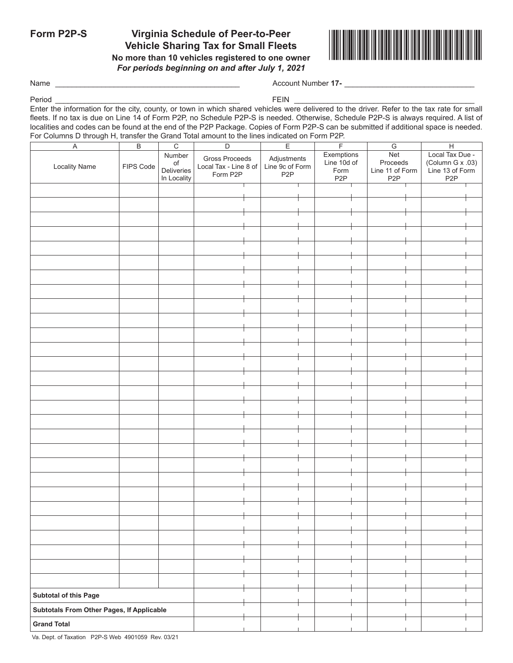# **Form P2P-S Virginia Schedule of Peer-to-Peer Vehicle Sharing Tax for Small Fleets**

**No more than 10 vehicles registered to one owner** *For periods beginning on and after July 1, 2021*



Name \_\_\_\_\_\_\_\_\_\_\_\_\_\_\_\_\_\_\_\_\_\_\_\_\_\_\_\_\_\_\_\_\_\_\_\_\_\_\_\_\_\_\_\_ Account Number **17-** \_\_\_\_\_\_\_\_\_\_\_\_\_\_\_\_\_\_\_\_\_\_\_\_\_\_\_\_\_\_\_

Period \_\_\_\_\_\_\_\_\_\_\_\_\_\_\_\_\_\_\_\_\_\_\_\_\_\_\_\_\_\_\_\_\_\_\_\_\_\_\_\_\_\_\_\_ FEIN \_\_\_\_\_\_\_\_\_\_\_\_\_\_\_\_\_\_\_\_\_\_\_\_\_\_\_\_\_\_\_\_\_\_\_\_\_\_\_\_\_\_\_

Enter the information for the city, county, or town in which shared vehicles were delivered to the driver. Refer to the tax rate for small fleets. If no tax is due on Line 14 of Form P2P, no Schedule P2P-S is needed. Otherwise, Schedule P2P-S is always required. A list of localities and codes can be found at the end of the P2P Package. Copies of Form P2P-S can be submitted if additional space is needed. For Columns D through H, transfer the Grand Total amount to the lines indicated on Form P2P.

| $\overline{A}$                            | $\overline{B}$ | $\overline{C}$ | $\overline{D}$                          |  | E                              |            | $\overline{F}$   |            | $\overline{G}$   |                 | $\overline{H}$   |  |
|-------------------------------------------|----------------|----------------|-----------------------------------------|--|--------------------------------|------------|------------------|------------|------------------|-----------------|------------------|--|
| Number                                    |                |                |                                         |  |                                | Exemptions |                  | <b>Net</b> |                  | Local Tax Due - |                  |  |
|                                           |                | of             | Gross Proceeds<br>Local Tax - Line 8 of |  | Adjustments<br>Line 9c of Form |            | Line 10d of      |            | Proceeds         |                 | (Column G x .03) |  |
| <b>Locality Name</b>                      | FIPS Code      | Deliveries     |                                         |  |                                |            | Form             |            | Line 11 of Form  |                 | Line 13 of Form  |  |
|                                           |                | In Locality    | Form P2P                                |  | P <sub>2</sub> P               |            | P <sub>2</sub> P |            | P <sub>2</sub> P |                 | P <sub>2</sub> P |  |
|                                           |                |                |                                         |  |                                |            |                  |            |                  |                 |                  |  |
|                                           |                |                |                                         |  |                                |            |                  |            |                  |                 |                  |  |
|                                           |                |                |                                         |  |                                |            |                  |            |                  |                 |                  |  |
|                                           |                |                |                                         |  |                                |            |                  |            |                  |                 |                  |  |
|                                           |                |                |                                         |  |                                |            |                  |            |                  |                 |                  |  |
|                                           |                |                |                                         |  |                                |            |                  |            |                  |                 |                  |  |
|                                           |                |                |                                         |  |                                |            |                  |            |                  |                 |                  |  |
|                                           |                |                |                                         |  |                                |            |                  |            |                  |                 |                  |  |
|                                           |                |                |                                         |  |                                |            |                  |            |                  |                 |                  |  |
|                                           |                |                |                                         |  |                                |            |                  |            |                  |                 |                  |  |
|                                           |                |                |                                         |  |                                |            |                  |            |                  |                 |                  |  |
|                                           |                |                |                                         |  |                                |            |                  |            |                  |                 |                  |  |
|                                           |                |                |                                         |  |                                |            |                  |            |                  |                 |                  |  |
|                                           |                |                |                                         |  |                                |            |                  |            |                  |                 |                  |  |
|                                           |                |                |                                         |  |                                |            |                  |            |                  |                 |                  |  |
|                                           |                |                |                                         |  |                                |            |                  |            |                  |                 |                  |  |
|                                           |                |                |                                         |  |                                |            |                  |            |                  |                 |                  |  |
|                                           |                |                |                                         |  |                                |            |                  |            |                  |                 |                  |  |
|                                           |                |                |                                         |  |                                |            |                  |            |                  |                 |                  |  |
|                                           |                |                |                                         |  |                                |            |                  |            |                  |                 |                  |  |
|                                           |                |                |                                         |  |                                |            |                  |            |                  |                 |                  |  |
|                                           |                |                |                                         |  |                                |            |                  |            |                  |                 |                  |  |
|                                           |                |                |                                         |  |                                |            |                  |            |                  |                 |                  |  |
|                                           |                |                |                                         |  |                                |            |                  |            |                  |                 |                  |  |
|                                           |                |                |                                         |  |                                |            |                  |            |                  |                 |                  |  |
|                                           |                |                |                                         |  |                                |            |                  |            |                  |                 |                  |  |
|                                           |                |                |                                         |  |                                |            |                  |            |                  |                 |                  |  |
|                                           |                |                |                                         |  |                                |            |                  |            |                  |                 |                  |  |
|                                           |                |                |                                         |  |                                |            |                  |            |                  |                 |                  |  |
|                                           |                |                |                                         |  |                                |            |                  |            |                  |                 |                  |  |
|                                           |                |                |                                         |  |                                |            |                  |            |                  |                 |                  |  |
|                                           |                |                |                                         |  |                                |            |                  |            |                  |                 |                  |  |
|                                           |                |                |                                         |  |                                |            |                  |            |                  |                 |                  |  |
|                                           |                |                |                                         |  |                                |            |                  |            |                  |                 |                  |  |
|                                           |                |                |                                         |  |                                |            |                  |            |                  |                 |                  |  |
|                                           |                |                |                                         |  |                                |            |                  |            |                  |                 |                  |  |
|                                           |                |                |                                         |  |                                |            |                  |            |                  |                 |                  |  |
|                                           |                |                |                                         |  |                                |            |                  |            |                  |                 |                  |  |
|                                           |                |                |                                         |  |                                |            |                  |            |                  |                 |                  |  |
|                                           |                |                |                                         |  |                                |            |                  |            |                  |                 |                  |  |
|                                           |                |                |                                         |  |                                |            |                  |            |                  |                 |                  |  |
|                                           |                |                |                                         |  |                                |            |                  |            |                  |                 |                  |  |
|                                           |                |                |                                         |  |                                |            |                  |            |                  |                 |                  |  |
|                                           |                |                |                                         |  |                                |            |                  |            |                  |                 |                  |  |
|                                           |                |                |                                         |  |                                |            |                  |            |                  |                 |                  |  |
|                                           |                |                |                                         |  |                                |            |                  |            |                  |                 |                  |  |
|                                           |                |                |                                         |  |                                |            |                  |            |                  |                 |                  |  |
|                                           |                |                |                                         |  |                                |            |                  |            |                  |                 |                  |  |
|                                           |                |                |                                         |  |                                |            |                  |            |                  |                 |                  |  |
| Subtotal of this Page                     |                |                |                                         |  |                                |            |                  |            |                  |                 |                  |  |
|                                           |                |                |                                         |  |                                |            |                  |            |                  |                 |                  |  |
| Subtotals From Other Pages, If Applicable |                |                |                                         |  |                                |            |                  |            |                  |                 |                  |  |
| <b>Grand Total</b>                        |                |                |                                         |  |                                |            |                  |            |                  |                 |                  |  |

Va. Dept. of Taxation P2P-S Web 4901059 Rev. 03/21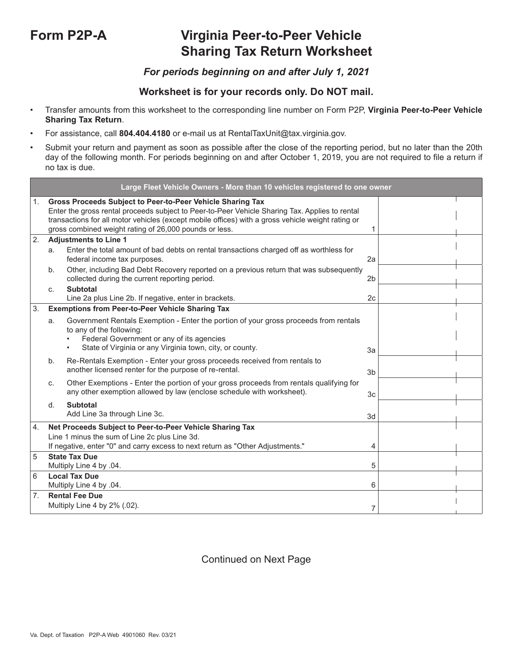# **Form P2P-A Virginia Peer-to-Peer Vehicle Sharing Tax Return Worksheet**

## *For periods beginning on and after July 1, 2021*

## **Worksheet is for your records only. Do NOT mail.**

- Transfer amounts from this worksheet to the corresponding line number on Form P2P, **Virginia Peer-to-Peer Vehicle Sharing Tax Return**.
- For assistance, call **804.404.4180** or e-mail us at RentalTaxUnit@tax.virginia.gov.
- Submit your return and payment as soon as possible after the close of the reporting period, but no later than the 20th day of the following month. For periods beginning on and after October 1, 2019, you are not required to file a return if no tax is due.

|    |    | Large Fleet Vehicle Owners - More than 10 vehicles registered to one owner                                                                                                                                                                                                                                                  |                |  |
|----|----|-----------------------------------------------------------------------------------------------------------------------------------------------------------------------------------------------------------------------------------------------------------------------------------------------------------------------------|----------------|--|
| 1. |    | Gross Proceeds Subject to Peer-to-Peer Vehicle Sharing Tax<br>Enter the gross rental proceeds subject to Peer-to-Peer Vehicle Sharing Tax. Applies to rental<br>transactions for all motor vehicles (except mobile offices) with a gross vehicle weight rating or<br>gross combined weight rating of 26,000 pounds or less. | 1              |  |
| 2. |    | <b>Adjustments to Line 1</b>                                                                                                                                                                                                                                                                                                |                |  |
|    | a. | Enter the total amount of bad debts on rental transactions charged off as worthless for<br>federal income tax purposes.                                                                                                                                                                                                     | 2a             |  |
|    | b. | Other, including Bad Debt Recovery reported on a previous return that was subsequently<br>collected during the current reporting period.                                                                                                                                                                                    | 2 <sub>b</sub> |  |
|    | C. | <b>Subtotal</b>                                                                                                                                                                                                                                                                                                             |                |  |
|    |    | Line 2a plus Line 2b. If negative, enter in brackets.                                                                                                                                                                                                                                                                       | 2c             |  |
| 3. |    | <b>Exemptions from Peer-to-Peer Vehicle Sharing Tax</b>                                                                                                                                                                                                                                                                     |                |  |
|    | a. | Government Rentals Exemption - Enter the portion of your gross proceeds from rentals<br>to any of the following:<br>Federal Government or any of its agencies<br>$\bullet$<br>State of Virginia or any Virginia town, city, or county.                                                                                      | 3a             |  |
|    | b. | Re-Rentals Exemption - Enter your gross proceeds received from rentals to<br>another licensed renter for the purpose of re-rental.                                                                                                                                                                                          | 3 <sub>b</sub> |  |
|    | C. | Other Exemptions - Enter the portion of your gross proceeds from rentals qualifying for<br>any other exemption allowed by law (enclose schedule with worksheet).                                                                                                                                                            | 3 <sub>c</sub> |  |
|    | d. | <b>Subtotal</b><br>Add Line 3a through Line 3c.                                                                                                                                                                                                                                                                             | 3d             |  |
| 4. |    | Net Proceeds Subject to Peer-to-Peer Vehicle Sharing Tax                                                                                                                                                                                                                                                                    |                |  |
|    |    | Line 1 minus the sum of Line 2c plus Line 3d.                                                                                                                                                                                                                                                                               |                |  |
|    |    | If negative, enter "0" and carry excess to next return as "Other Adjustments."                                                                                                                                                                                                                                              | 4              |  |
| 5  |    | <b>State Tax Due</b>                                                                                                                                                                                                                                                                                                        |                |  |
|    |    | Multiply Line 4 by .04.                                                                                                                                                                                                                                                                                                     | 5              |  |
| 6  |    | <b>Local Tax Due</b><br>Multiply Line 4 by .04.                                                                                                                                                                                                                                                                             | 6              |  |
| 7. |    | <b>Rental Fee Due</b>                                                                                                                                                                                                                                                                                                       |                |  |
|    |    | Multiply Line 4 by 2% (.02).                                                                                                                                                                                                                                                                                                | 7              |  |

## Continued on Next Page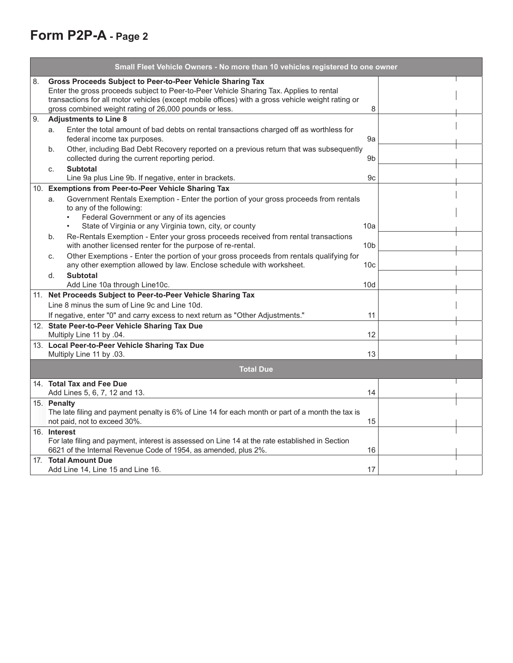# **Form P2P-A - Page 2**

|    | Small Fleet Vehicle Owners - No more than 10 vehicles registered to one owner                                                                                                                                                                                                                                        |                 |
|----|----------------------------------------------------------------------------------------------------------------------------------------------------------------------------------------------------------------------------------------------------------------------------------------------------------------------|-----------------|
| 8. | Gross Proceeds Subject to Peer-to-Peer Vehicle Sharing Tax<br>Enter the gross proceeds subject to Peer-to-Peer Vehicle Sharing Tax. Applies to rental<br>transactions for all motor vehicles (except mobile offices) with a gross vehicle weight rating or<br>gross combined weight rating of 26,000 pounds or less. | 8               |
| 9. | <b>Adjustments to Line 8</b>                                                                                                                                                                                                                                                                                         |                 |
|    | Enter the total amount of bad debts on rental transactions charged off as worthless for<br>a.<br>federal income tax purposes.<br>Other, including Bad Debt Recovery reported on a previous return that was subsequently<br>b.                                                                                        | 9a              |
|    | collected during the current reporting period.                                                                                                                                                                                                                                                                       | 9 <sub>b</sub>  |
|    | <b>Subtotal</b><br>C.                                                                                                                                                                                                                                                                                                |                 |
|    | Line 9a plus Line 9b. If negative, enter in brackets.                                                                                                                                                                                                                                                                | 9c              |
|    | 10. Exemptions from Peer-to-Peer Vehicle Sharing Tax                                                                                                                                                                                                                                                                 |                 |
|    | Government Rentals Exemption - Enter the portion of your gross proceeds from rentals<br>a.<br>to any of the following:                                                                                                                                                                                               |                 |
|    | Federal Government or any of its agencies<br>State of Virginia or any Virginia town, city, or county                                                                                                                                                                                                                 | 10a             |
|    | Re-Rentals Exemption - Enter your gross proceeds received from rental transactions<br>b.<br>with another licensed renter for the purpose of re-rental.                                                                                                                                                               | 10 <sub>b</sub> |
|    | Other Exemptions - Enter the portion of your gross proceeds from rentals qualifying for<br>C.<br>any other exemption allowed by law. Enclose schedule with worksheet.                                                                                                                                                | 10 <sub>c</sub> |
|    | <b>Subtotal</b><br>d.<br>Add Line 10a through Line10c.                                                                                                                                                                                                                                                               | 10d             |
|    | 11. Net Proceeds Subject to Peer-to-Peer Vehicle Sharing Tax                                                                                                                                                                                                                                                         |                 |
|    | Line 8 minus the sum of Line 9c and Line 10d.                                                                                                                                                                                                                                                                        |                 |
|    | If negative, enter "0" and carry excess to next return as "Other Adjustments."                                                                                                                                                                                                                                       | 11              |
|    | 12. State Peer-to-Peer Vehicle Sharing Tax Due                                                                                                                                                                                                                                                                       |                 |
|    | Multiply Line 11 by .04.                                                                                                                                                                                                                                                                                             | 12              |
|    | 13. Local Peer-to-Peer Vehicle Sharing Tax Due<br>Multiply Line 11 by .03.                                                                                                                                                                                                                                           | 13              |
|    | <b>Total Due</b>                                                                                                                                                                                                                                                                                                     |                 |
|    | 14. Total Tax and Fee Due<br>Add Lines 5, 6, 7, 12 and 13.                                                                                                                                                                                                                                                           | 14              |
|    | 15. Penalty<br>The late filing and payment penalty is 6% of Line 14 for each month or part of a month the tax is<br>not paid, not to exceed 30%.                                                                                                                                                                     | 15              |
|    | 16. Interest<br>For late filing and payment, interest is assessed on Line 14 at the rate established in Section<br>6621 of the Internal Revenue Code of 1954, as amended, plus 2%.                                                                                                                                   | 16              |
|    | 17. Total Amount Due<br>Add Line 14, Line 15 and Line 16.                                                                                                                                                                                                                                                            | 17              |